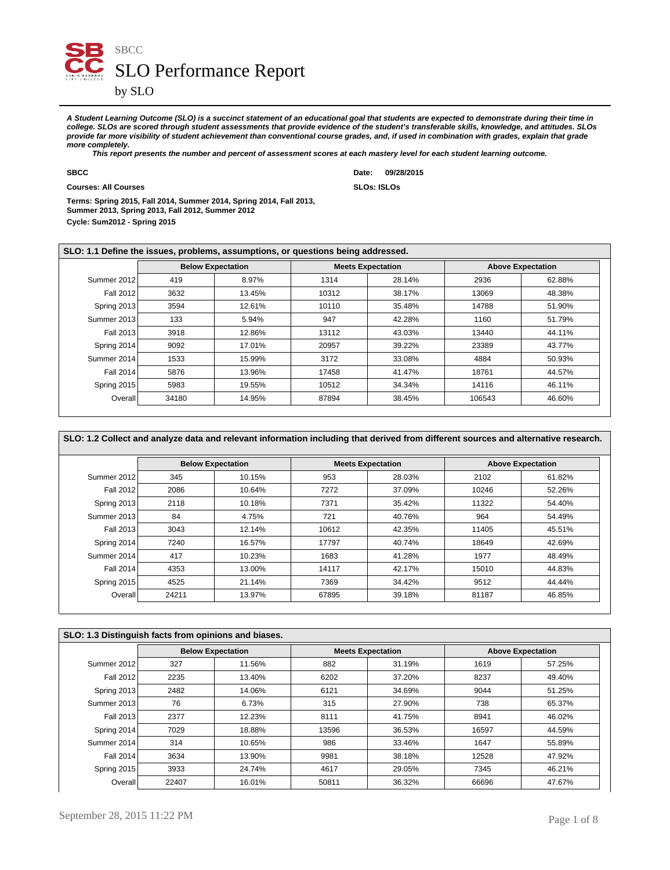

**A Student Learning Outcome (SLO) is a succinct statement of an educational goal that students are expected to demonstrate during their time in college. SLOs are scored through student assessments that provide evidence of the student's transferable skills, knowledge, and attitudes. SLOs provide far more visibility of student achievement than conventional course grades, and, if used in combination with grades, explain that grade more completely.**

 **This report presents the number and percent of assessment scores at each mastery level for each student learning outcome.**

**Courses: All Courses SLOs: ISLOs**

**SBCC Date: 09/28/2015**

**Cycle: Sum2012 - Spring 2015 Terms: Spring 2015, Fall 2014, Summer 2014, Spring 2014, Fall 2013, Summer 2013, Spring 2013, Fall 2012, Summer 2012**

| SLO: 1.1 Define the issues, problems, assumptions, or questions being addressed. |       |                          |       |                          |        |                          |  |  |  |
|----------------------------------------------------------------------------------|-------|--------------------------|-------|--------------------------|--------|--------------------------|--|--|--|
|                                                                                  |       | <b>Below Expectation</b> |       | <b>Meets Expectation</b> |        | <b>Above Expectation</b> |  |  |  |
| Summer 2012                                                                      | 419   | 8.97%                    | 1314  | 28.14%                   | 2936   | 62.88%                   |  |  |  |
| Fall 2012                                                                        | 3632  | 13.45%                   | 10312 | 38.17%                   | 13069  | 48.38%                   |  |  |  |
| Spring 2013                                                                      | 3594  | 12.61%                   | 10110 | 35.48%                   | 14788  | 51.90%                   |  |  |  |
| Summer 2013                                                                      | 133   | 5.94%                    | 947   | 42.28%                   | 1160   | 51.79%                   |  |  |  |
| Fall 2013                                                                        | 3918  | 12.86%                   | 13112 | 43.03%                   | 13440  | 44.11%                   |  |  |  |
| Spring 2014                                                                      | 9092  | 17.01%                   | 20957 | 39.22%                   | 23389  | 43.77%                   |  |  |  |
| Summer 2014                                                                      | 1533  | 15.99%                   | 3172  | 33.08%                   | 4884   | 50.93%                   |  |  |  |
| Fall 2014                                                                        | 5876  | 13.96%                   | 17458 | 41.47%                   | 18761  | 44.57%                   |  |  |  |
| Spring 2015                                                                      | 5983  | 19.55%                   | 10512 | 34.34%                   | 14116  | 46.11%                   |  |  |  |
| Overall                                                                          | 34180 | 14.95%                   | 87894 | 38.45%                   | 106543 | 46.60%                   |  |  |  |

|             |       | <b>Below Expectation</b> |       | <b>Meets Expectation</b> |       | <b>Above Expectation</b> |
|-------------|-------|--------------------------|-------|--------------------------|-------|--------------------------|
| Summer 2012 | 345   | 10.15%                   | 953   | 28.03%                   | 2102  | 61.82%                   |
| Fall 2012   | 2086  | 10.64%                   | 7272  | 37.09%                   | 10246 | 52.26%                   |
| Spring 2013 | 2118  | 10.18%                   | 7371  | 35.42%                   | 11322 | 54.40%                   |
| Summer 2013 | 84    | 4.75%                    | 721   | 40.76%                   | 964   | 54.49%                   |
| Fall 2013   | 3043  | 12.14%                   | 10612 | 42.35%                   | 11405 | 45.51%                   |
| Spring 2014 | 7240  | 16.57%                   | 17797 | 40.74%                   | 18649 | 42.69%                   |
| Summer 2014 | 417   | 10.23%                   | 1683  | 41.28%                   | 1977  | 48.49%                   |
| Fall 2014   | 4353  | 13.00%                   | 14117 | 42.17%                   | 15010 | 44.83%                   |
| Spring 2015 | 4525  | 21.14%                   | 7369  | 34.42%                   | 9512  | 44.44%                   |
| Overall     | 24211 | 13.97%                   | 67895 | 39.18%                   | 81187 | 46.85%                   |

| SLO: 1.3 Distinguish facts from opinions and biases. |       |                          |       |                          |       |                          |  |  |  |
|------------------------------------------------------|-------|--------------------------|-------|--------------------------|-------|--------------------------|--|--|--|
|                                                      |       | <b>Below Expectation</b> |       | <b>Meets Expectation</b> |       | <b>Above Expectation</b> |  |  |  |
| Summer 2012                                          | 327   | 11.56%                   | 882   | 31.19%                   | 1619  | 57.25%                   |  |  |  |
| <b>Fall 2012</b>                                     | 2235  | 13.40%                   | 6202  | 37.20%                   | 8237  | 49.40%                   |  |  |  |
| Spring 2013                                          | 2482  | 14.06%                   | 6121  | 34.69%                   | 9044  | 51.25%                   |  |  |  |
| Summer 2013                                          | 76    | 6.73%                    | 315   | 27.90%                   | 738   | 65.37%                   |  |  |  |
| Fall 2013                                            | 2377  | 12.23%                   | 8111  | 41.75%                   | 8941  | 46.02%                   |  |  |  |
| Spring 2014                                          | 7029  | 18.88%                   | 13596 | 36.53%                   | 16597 | 44.59%                   |  |  |  |
| Summer 2014                                          | 314   | 10.65%                   | 986   | 33.46%                   | 1647  | 55.89%                   |  |  |  |
| Fall 2014                                            | 3634  | 13.90%                   | 9981  | 38.18%                   | 12528 | 47.92%                   |  |  |  |
| Spring 2015                                          | 3933  | 24.74%                   | 4617  | 29.05%                   | 7345  | 46.21%                   |  |  |  |
| Overall                                              | 22407 | 16.01%                   | 50811 | 36.32%                   | 66696 | 47.67%                   |  |  |  |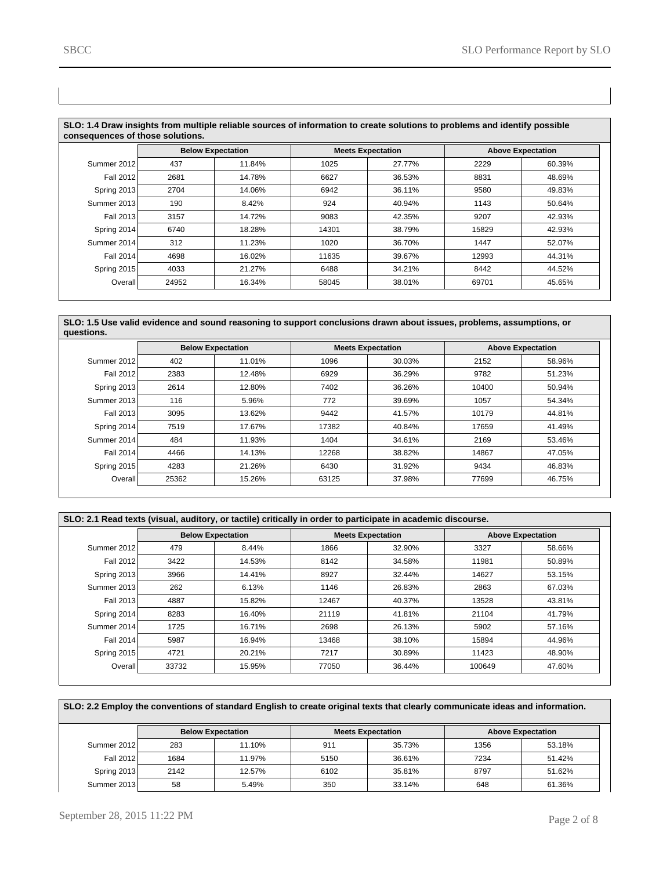| SLO: 1.4 Draw insights from multiple reliable sources of information to create solutions to problems and identify possible<br>consequences of those solutions. |       |                          |       |                          |       |                          |  |  |  |
|----------------------------------------------------------------------------------------------------------------------------------------------------------------|-------|--------------------------|-------|--------------------------|-------|--------------------------|--|--|--|
|                                                                                                                                                                |       | <b>Below Expectation</b> |       | <b>Meets Expectation</b> |       | <b>Above Expectation</b> |  |  |  |
| Summer 2012                                                                                                                                                    | 437   | 11.84%                   | 1025  | 27.77%                   | 2229  | 60.39%                   |  |  |  |
| Fall 2012                                                                                                                                                      | 2681  | 14.78%                   | 6627  | 36.53%                   | 8831  | 48.69%                   |  |  |  |
| Spring 2013                                                                                                                                                    | 2704  | 14.06%                   | 6942  | 36.11%                   | 9580  | 49.83%                   |  |  |  |
| Summer 2013                                                                                                                                                    | 190   | 8.42%                    | 924   | 40.94%                   | 1143  | 50.64%                   |  |  |  |
| Fall 2013                                                                                                                                                      | 3157  | 14.72%                   | 9083  | 42.35%                   | 9207  | 42.93%                   |  |  |  |
| Spring 2014                                                                                                                                                    | 6740  | 18.28%                   | 14301 | 38.79%                   | 15829 | 42.93%                   |  |  |  |
| Summer 2014                                                                                                                                                    | 312   | 11.23%                   | 1020  | 36.70%                   | 1447  | 52.07%                   |  |  |  |
| Fall 2014                                                                                                                                                      | 4698  | 16.02%                   | 11635 | 39.67%                   | 12993 | 44.31%                   |  |  |  |
| Spring 2015                                                                                                                                                    | 4033  | 21.27%                   | 6488  | 34.21%                   | 8442  | 44.52%                   |  |  |  |
| <b>Overall</b>                                                                                                                                                 | 24952 | 16.34%                   | 58045 | 38.01%                   | 69701 | 45.65%                   |  |  |  |

**SLO: 1.5 Use valid evidence and sound reasoning to support conclusions drawn about issues, problems, assumptions, or questions.**

|                  | <b>Below Expectation</b> |        | <b>Meets Expectation</b> |        | <b>Above Expectation</b> |        |
|------------------|--------------------------|--------|--------------------------|--------|--------------------------|--------|
| Summer 2012      | 402                      | 11.01% | 1096                     | 30.03% | 2152                     | 58.96% |
| <b>Fall 2012</b> | 2383                     | 12.48% | 6929                     | 36.29% | 9782                     | 51.23% |
| Spring 2013      | 2614                     | 12.80% | 7402                     | 36.26% | 10400                    | 50.94% |
| Summer 2013      | 116                      | 5.96%  | 772                      | 39.69% | 1057                     | 54.34% |
| Fall 2013        | 3095                     | 13.62% | 9442                     | 41.57% | 10179                    | 44.81% |
| Spring 2014      | 7519                     | 17.67% | 17382                    | 40.84% | 17659                    | 41.49% |
| Summer 2014      | 484                      | 11.93% | 1404                     | 34.61% | 2169                     | 53.46% |
| <b>Fall 2014</b> | 4466                     | 14.13% | 12268                    | 38.82% | 14867                    | 47.05% |
| Spring 2015      | 4283                     | 21.26% | 6430                     | 31.92% | 9434                     | 46.83% |
| Overall          | 25362                    | 15.26% | 63125                    | 37.98% | 77699                    | 46.75% |

| SLO: 2.1 Read texts (visual, auditory, or tactile) critically in order to participate in academic discourse. |                          |        |       |                          |        |                          |  |  |  |
|--------------------------------------------------------------------------------------------------------------|--------------------------|--------|-------|--------------------------|--------|--------------------------|--|--|--|
|                                                                                                              | <b>Below Expectation</b> |        |       | <b>Meets Expectation</b> |        | <b>Above Expectation</b> |  |  |  |
| Summer 2012                                                                                                  | 479                      | 8.44%  | 1866  | 32.90%                   | 3327   | 58.66%                   |  |  |  |
| Fall 2012                                                                                                    | 3422                     | 14.53% | 8142  | 34.58%                   | 11981  | 50.89%                   |  |  |  |
| Spring 2013                                                                                                  | 3966                     | 14.41% | 8927  | 32.44%                   | 14627  | 53.15%                   |  |  |  |
| Summer 2013                                                                                                  | 262                      | 6.13%  | 1146  | 26.83%                   | 2863   | 67.03%                   |  |  |  |
| Fall 2013                                                                                                    | 4887                     | 15.82% | 12467 | 40.37%                   | 13528  | 43.81%                   |  |  |  |
| Spring 2014                                                                                                  | 8283                     | 16.40% | 21119 | 41.81%                   | 21104  | 41.79%                   |  |  |  |
| Summer 2014                                                                                                  | 1725                     | 16.71% | 2698  | 26.13%                   | 5902   | 57.16%                   |  |  |  |
| Fall 2014                                                                                                    | 5987                     | 16.94% | 13468 | 38.10%                   | 15894  | 44.96%                   |  |  |  |
| Spring 2015                                                                                                  | 4721                     | 20.21% | 7217  | 30.89%                   | 11423  | 48.90%                   |  |  |  |
| Overall                                                                                                      | 33732                    | 15.95% | 77050 | 36.44%                   | 100649 | 47.60%                   |  |  |  |

| SLO: 2.2 Employ the conventions of standard English to create original texts that clearly communicate ideas and information. |                          |        |                          |        |                          |        |  |  |  |
|------------------------------------------------------------------------------------------------------------------------------|--------------------------|--------|--------------------------|--------|--------------------------|--------|--|--|--|
|                                                                                                                              | <b>Below Expectation</b> |        | <b>Meets Expectation</b> |        | <b>Above Expectation</b> |        |  |  |  |
| Summer 2012                                                                                                                  | 283                      | 11.10% | 911                      | 35.73% | 1356                     | 53.18% |  |  |  |
| Fall 2012                                                                                                                    | 1684                     | 11.97% | 5150                     | 36.61% | 7234                     | 51.42% |  |  |  |
| Spring 2013                                                                                                                  | 2142                     | 12.57% | 6102                     | 35.81% | 8797                     | 51.62% |  |  |  |
| Summer 2013                                                                                                                  | 58                       | 5.49%  | 350                      | 33.14% | 648                      | 61.36% |  |  |  |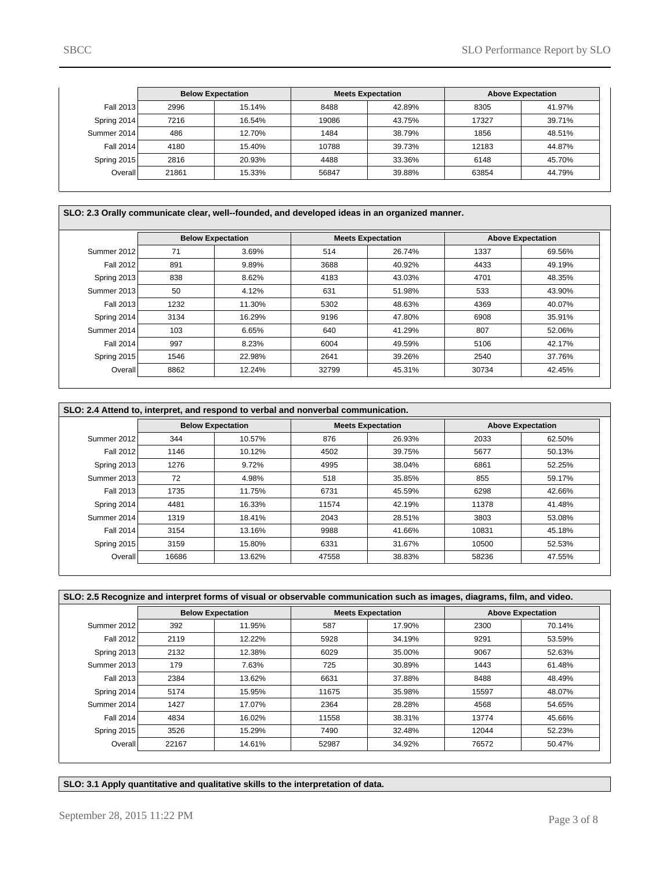|             | <b>Below Expectation</b> |        | <b>Meets Expectation</b> |        | <b>Above Expectation</b> |        |
|-------------|--------------------------|--------|--------------------------|--------|--------------------------|--------|
| Fall 2013   | 2996                     | 15.14% | 8488                     | 42.89% | 8305                     | 41.97% |
| Spring 2014 | 7216                     | 16.54% | 19086                    | 43.75% | 17327                    | 39.71% |
| Summer 2014 | 486                      | 12.70% | 1484                     | 38.79% | 1856                     | 48.51% |
| Fall 2014   | 4180                     | 15.40% | 10788                    | 39.73% | 12183                    | 44.87% |
| Spring 2015 | 2816                     | 20.93% | 4488                     | 33.36% | 6148                     | 45.70% |
| Overall     | 21861                    | 15.33% | 56847                    | 39.88% | 63854                    | 44.79% |

**SLO: 2.3 Orally communicate clear, well--founded, and developed ideas in an organized manner.**

|             | <b>Below Expectation</b> |        |       | <b>Meets Expectation</b> |       | <b>Above Expectation</b> |  |  |
|-------------|--------------------------|--------|-------|--------------------------|-------|--------------------------|--|--|
| Summer 2012 | 71                       | 3.69%  | 514   | 26.74%                   | 1337  | 69.56%                   |  |  |
| Fall 2012   | 891                      | 9.89%  | 3688  | 40.92%                   | 4433  | 49.19%                   |  |  |
| Spring 2013 | 838                      | 8.62%  | 4183  | 43.03%                   | 4701  | 48.35%                   |  |  |
| Summer 2013 | 50                       | 4.12%  | 631   | 51.98%                   | 533   | 43.90%                   |  |  |
| Fall 2013   | 1232                     | 11.30% | 5302  | 48.63%                   | 4369  | 40.07%                   |  |  |
| Spring 2014 | 3134                     | 16.29% | 9196  | 47.80%                   | 6908  | 35.91%                   |  |  |
| Summer 2014 | 103                      | 6.65%  | 640   | 41.29%                   | 807   | 52.06%                   |  |  |
| Fall 2014   | 997                      | 8.23%  | 6004  | 49.59%                   | 5106  | 42.17%                   |  |  |
| Spring 2015 | 1546                     | 22.98% | 2641  | 39.26%                   | 2540  | 37.76%                   |  |  |
| Overall     | 8862                     | 12.24% | 32799 | 45.31%                   | 30734 | 42.45%                   |  |  |

| SLO: 2.4 Attend to, interpret, and respond to verbal and nonverbal communication. |                          |        |       |                          |       |                          |  |  |  |
|-----------------------------------------------------------------------------------|--------------------------|--------|-------|--------------------------|-------|--------------------------|--|--|--|
|                                                                                   | <b>Below Expectation</b> |        |       | <b>Meets Expectation</b> |       | <b>Above Expectation</b> |  |  |  |
| Summer 2012                                                                       | 344                      | 10.57% | 876   | 26.93%                   | 2033  | 62.50%                   |  |  |  |
| <b>Fall 2012</b>                                                                  | 1146                     | 10.12% | 4502  | 39.75%                   | 5677  | 50.13%                   |  |  |  |
| Spring 2013                                                                       | 1276                     | 9.72%  | 4995  | 38.04%                   | 6861  | 52.25%                   |  |  |  |
| Summer 2013                                                                       | 72                       | 4.98%  | 518   | 35.85%                   | 855   | 59.17%                   |  |  |  |
| Fall 2013                                                                         | 1735                     | 11.75% | 6731  | 45.59%                   | 6298  | 42.66%                   |  |  |  |
| Spring 2014                                                                       | 4481                     | 16.33% | 11574 | 42.19%                   | 11378 | 41.48%                   |  |  |  |
| Summer 2014                                                                       | 1319                     | 18.41% | 2043  | 28.51%                   | 3803  | 53.08%                   |  |  |  |
| Fall 2014                                                                         | 3154                     | 13.16% | 9988  | 41.66%                   | 10831 | 45.18%                   |  |  |  |
| Spring 2015                                                                       | 3159                     | 15.80% | 6331  | 31.67%                   | 10500 | 52.53%                   |  |  |  |
| <b>Overall</b>                                                                    | 16686                    | 13.62% | 47558 | 38.83%                   | 58236 | 47.55%                   |  |  |  |

| SLO: 2.5 Recognize and interpret forms of visual or observable communication such as images, diagrams, film, and video. |       |                          |       |                          |       |                          |  |  |  |
|-------------------------------------------------------------------------------------------------------------------------|-------|--------------------------|-------|--------------------------|-------|--------------------------|--|--|--|
|                                                                                                                         |       | <b>Below Expectation</b> |       | <b>Meets Expectation</b> |       | <b>Above Expectation</b> |  |  |  |
| Summer 2012                                                                                                             | 392   | 11.95%                   | 587   | 17.90%                   | 2300  | 70.14%                   |  |  |  |
| Fall 2012                                                                                                               | 2119  | 12.22%                   | 5928  | 34.19%                   | 9291  | 53.59%                   |  |  |  |
| Spring 2013                                                                                                             | 2132  | 12.38%                   | 6029  | 35.00%                   | 9067  | 52.63%                   |  |  |  |
| Summer 2013                                                                                                             | 179   | 7.63%                    | 725   | 30.89%                   | 1443  | 61.48%                   |  |  |  |
| Fall 2013                                                                                                               | 2384  | 13.62%                   | 6631  | 37.88%                   | 8488  | 48.49%                   |  |  |  |
| Spring 2014                                                                                                             | 5174  | 15.95%                   | 11675 | 35.98%                   | 15597 | 48.07%                   |  |  |  |
| Summer 2014                                                                                                             | 1427  | 17.07%                   | 2364  | 28.28%                   | 4568  | 54.65%                   |  |  |  |
| Fall 2014                                                                                                               | 4834  | 16.02%                   | 11558 | 38.31%                   | 13774 | 45.66%                   |  |  |  |
| Spring 2015                                                                                                             | 3526  | 15.29%                   | 7490  | 32.48%                   | 12044 | 52.23%                   |  |  |  |
| Overall                                                                                                                 | 22167 | 14.61%                   | 52987 | 34.92%                   | 76572 | 50.47%                   |  |  |  |

**SLO: 3.1 Apply quantitative and qualitative skills to the interpretation of data.**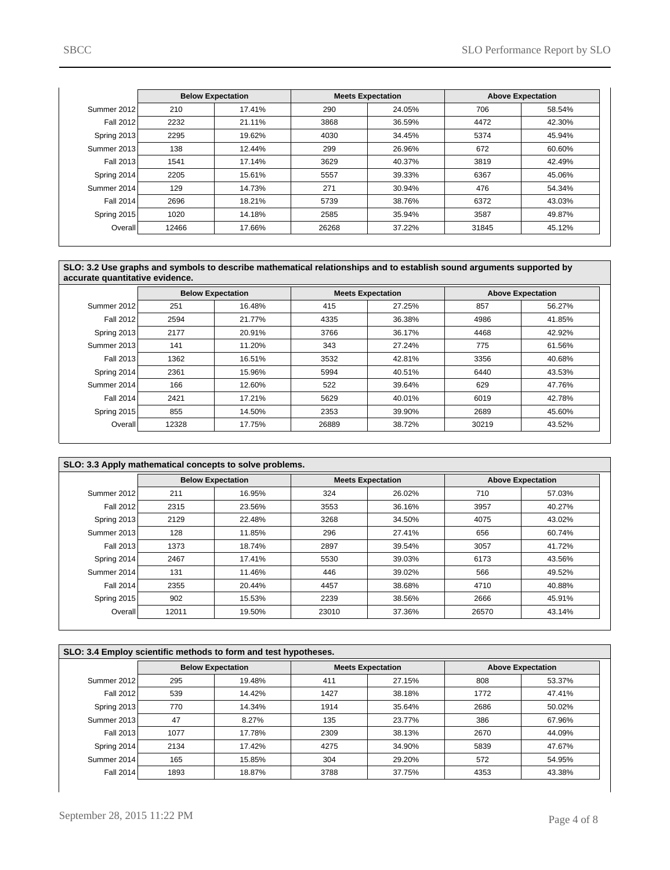|                  | <b>Below Expectation</b> |        | <b>Meets Expectation</b> |        | <b>Above Expectation</b> |        |
|------------------|--------------------------|--------|--------------------------|--------|--------------------------|--------|
| Summer 2012      | 210                      | 17.41% | 290                      | 24.05% | 706                      | 58.54% |
| <b>Fall 2012</b> | 2232                     | 21.11% | 3868                     | 36.59% | 4472                     | 42.30% |
| Spring 2013      | 2295                     | 19.62% | 4030                     | 34.45% | 5374                     | 45.94% |
| Summer 2013      | 138                      | 12.44% | 299                      | 26.96% | 672                      | 60.60% |
| Fall 2013        | 1541                     | 17.14% | 3629                     | 40.37% | 3819                     | 42.49% |
| Spring 2014      | 2205                     | 15.61% | 5557                     | 39.33% | 6367                     | 45.06% |
| Summer 2014      | 129                      | 14.73% | 271                      | 30.94% | 476                      | 54.34% |
| <b>Fall 2014</b> | 2696                     | 18.21% | 5739                     | 38.76% | 6372                     | 43.03% |
| Spring 2015      | 1020                     | 14.18% | 2585                     | 35.94% | 3587                     | 49.87% |
| Overall          | 12466                    | 17.66% | 26268                    | 37.22% | 31845                    | 45.12% |

**SLO: 3.2 Use graphs and symbols to describe mathematical relationships and to establish sound arguments supported by accurate quantitative evidence.**

|                |       | <b>Below Expectation</b> | <b>Meets Expectation</b> |        | <b>Above Expectation</b> |        |
|----------------|-------|--------------------------|--------------------------|--------|--------------------------|--------|
| Summer 2012    | 251   | 16.48%                   | 415                      | 27.25% | 857                      | 56.27% |
| Fall 2012      | 2594  | 21.77%                   | 4335                     | 36.38% | 4986                     | 41.85% |
| Spring 2013    | 2177  | 20.91%                   | 3766                     | 36.17% | 4468                     | 42.92% |
| Summer 2013    | 141   | 11.20%                   | 343                      | 27.24% | 775                      | 61.56% |
| Fall 2013      | 1362  | 16.51%                   | 3532                     | 42.81% | 3356                     | 40.68% |
| Spring 2014    | 2361  | 15.96%                   | 5994                     | 40.51% | 6440                     | 43.53% |
| Summer 2014    | 166   | 12.60%                   | 522                      | 39.64% | 629                      | 47.76% |
| Fall 2014      | 2421  | 17.21%                   | 5629                     | 40.01% | 6019                     | 42.78% |
| Spring 2015    | 855   | 14.50%                   | 2353                     | 39.90% | 2689                     | 45.60% |
| <b>Overall</b> | 12328 | 17.75%                   | 26889                    | 38.72% | 30219                    | 43.52% |

| SLO: 3.3 Apply mathematical concepts to solve problems. |       |                          |       |                          |       |                          |  |  |
|---------------------------------------------------------|-------|--------------------------|-------|--------------------------|-------|--------------------------|--|--|
|                                                         |       | <b>Below Expectation</b> |       | <b>Meets Expectation</b> |       | <b>Above Expectation</b> |  |  |
| Summer 2012                                             | 211   | 16.95%                   | 324   | 26.02%                   | 710   | 57.03%                   |  |  |
| Fall 2012                                               | 2315  | 23.56%                   | 3553  | 36.16%                   | 3957  | 40.27%                   |  |  |
| Spring 2013                                             | 2129  | 22.48%                   | 3268  | 34.50%                   | 4075  | 43.02%                   |  |  |
| Summer 2013                                             | 128   | 11.85%                   | 296   | 27.41%                   | 656   | 60.74%                   |  |  |
| Fall 2013                                               | 1373  | 18.74%                   | 2897  | 39.54%                   | 3057  | 41.72%                   |  |  |
| Spring 2014                                             | 2467  | 17.41%                   | 5530  | 39.03%                   | 6173  | 43.56%                   |  |  |
| Summer 2014                                             | 131   | 11.46%                   | 446   | 39.02%                   | 566   | 49.52%                   |  |  |
| Fall 2014                                               | 2355  | 20.44%                   | 4457  | 38.68%                   | 4710  | 40.88%                   |  |  |
| Spring 2015                                             | 902   | 15.53%                   | 2239  | 38.56%                   | 2666  | 45.91%                   |  |  |
| Overall                                                 | 12011 | 19.50%                   | 23010 | 37.36%                   | 26570 | 43.14%                   |  |  |

|                  | SLO: 3.4 Employ scientific methods to form and test hypotheses. |                          |      |                          |                          |        |  |  |  |  |
|------------------|-----------------------------------------------------------------|--------------------------|------|--------------------------|--------------------------|--------|--|--|--|--|
|                  |                                                                 | <b>Below Expectation</b> |      | <b>Meets Expectation</b> | <b>Above Expectation</b> |        |  |  |  |  |
| Summer 2012      | 295                                                             | 19.48%                   | 411  | 27.15%                   | 808                      | 53.37% |  |  |  |  |
| <b>Fall 2012</b> | 539                                                             | 14.42%                   | 1427 | 38.18%                   | 1772                     | 47.41% |  |  |  |  |
| Spring 2013      | 770                                                             | 14.34%                   | 1914 | 35.64%                   | 2686                     | 50.02% |  |  |  |  |
| Summer 2013      | 47                                                              | 8.27%                    | 135  | 23.77%                   | 386                      | 67.96% |  |  |  |  |
| Fall 2013        | 1077                                                            | 17.78%                   | 2309 | 38.13%                   | 2670                     | 44.09% |  |  |  |  |
| Spring 2014      | 2134                                                            | 17.42%                   | 4275 | 34.90%                   | 5839                     | 47.67% |  |  |  |  |
| Summer 2014      | 165                                                             | 15.85%                   | 304  | 29.20%                   | 572                      | 54.95% |  |  |  |  |
| <b>Fall 2014</b> | 1893                                                            | 18.87%                   | 3788 | 37.75%                   | 4353                     | 43.38% |  |  |  |  |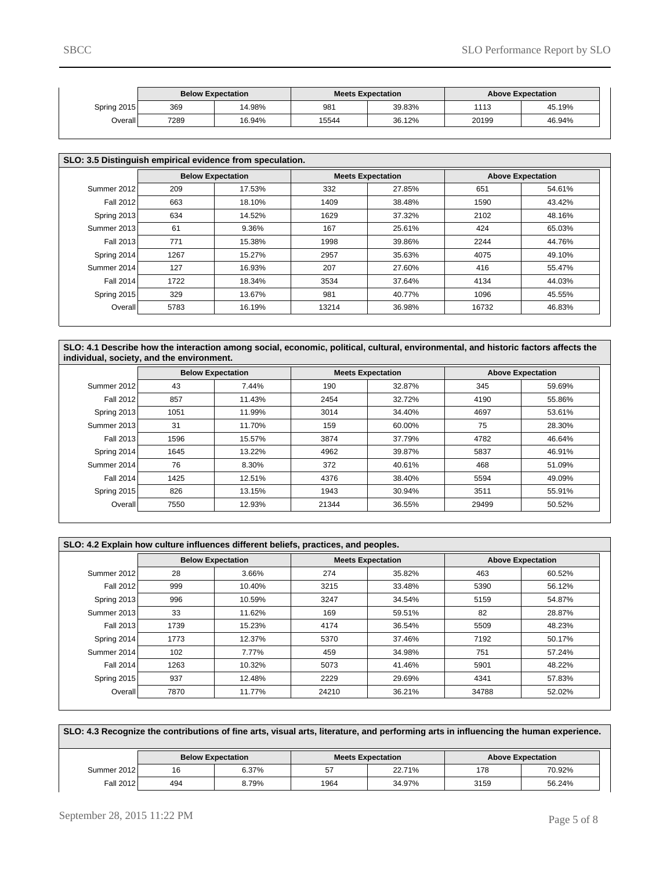|             | <b>Below Expectation</b> |        |       | <b>Meets Expectation</b> |       | <b>Above Expectation</b> |
|-------------|--------------------------|--------|-------|--------------------------|-------|--------------------------|
| Spring 2015 | 369                      | 14.98% | 981   | 39.83%                   | 1113  | 45.19%                   |
| Overall l   | 7289                     | 16.94% | 15544 | 36.12%                   | 20199 | 46.94%                   |

| SLO: 3.5 Distinguish empirical evidence from speculation. |                          |        |       |                          |       |                          |  |  |  |
|-----------------------------------------------------------|--------------------------|--------|-------|--------------------------|-------|--------------------------|--|--|--|
|                                                           | <b>Below Expectation</b> |        |       | <b>Meets Expectation</b> |       | <b>Above Expectation</b> |  |  |  |
| Summer 2012                                               | 209                      | 17.53% | 332   | 27.85%                   | 651   | 54.61%                   |  |  |  |
| <b>Fall 2012</b>                                          | 663                      | 18.10% | 1409  | 38.48%                   | 1590  | 43.42%                   |  |  |  |
| Spring 2013                                               | 634                      | 14.52% | 1629  | 37.32%                   | 2102  | 48.16%                   |  |  |  |
| Summer 2013                                               | 61                       | 9.36%  | 167   | 25.61%                   | 424   | 65.03%                   |  |  |  |
| <b>Fall 2013</b>                                          | 771                      | 15.38% | 1998  | 39.86%                   | 2244  | 44.76%                   |  |  |  |
| Spring 2014                                               | 1267                     | 15.27% | 2957  | 35.63%                   | 4075  | 49.10%                   |  |  |  |
| Summer 2014                                               | 127                      | 16.93% | 207   | 27.60%                   | 416   | 55.47%                   |  |  |  |
| <b>Fall 2014</b>                                          | 1722                     | 18.34% | 3534  | 37.64%                   | 4134  | 44.03%                   |  |  |  |
| Spring 2015                                               | 329                      | 13.67% | 981   | 40.77%                   | 1096  | 45.55%                   |  |  |  |
| Overall <sup>1</sup>                                      | 5783                     | 16.19% | 13214 | 36.98%                   | 16732 | 46.83%                   |  |  |  |

**SLO: 4.1 Describe how the interaction among social, economic, political, cultural, environmental, and historic factors affects the individual, society, and the environment.**

|                  | <b>Below Expectation</b> |        | <b>Meets Expectation</b> |        | <b>Above Expectation</b> |        |
|------------------|--------------------------|--------|--------------------------|--------|--------------------------|--------|
| Summer 2012      | 43                       | 7.44%  | 190                      | 32.87% | 345                      | 59.69% |
| <b>Fall 2012</b> | 857                      | 11.43% | 2454                     | 32.72% | 4190                     | 55.86% |
| Spring 2013      | 1051                     | 11.99% | 3014                     | 34.40% | 4697                     | 53.61% |
| Summer 2013      | 31                       | 11.70% | 159                      | 60.00% | 75                       | 28.30% |
| Fall 2013        | 1596                     | 15.57% | 3874                     | 37.79% | 4782                     | 46.64% |
| Spring 2014      | 1645                     | 13.22% | 4962                     | 39.87% | 5837                     | 46.91% |
| Summer 2014      | 76                       | 8.30%  | 372                      | 40.61% | 468                      | 51.09% |
| Fall 2014        | 1425                     | 12.51% | 4376                     | 38.40% | 5594                     | 49.09% |
| Spring 2015      | 826                      | 13.15% | 1943                     | 30.94% | 3511                     | 55.91% |
| Overall          | 7550                     | 12.93% | 21344                    | 36.55% | 29499                    | 50.52% |

|             | SLO: 4.2 Explain how culture influences different beliefs, practices, and peoples. |                          |                          |        |                          |        |  |  |  |
|-------------|------------------------------------------------------------------------------------|--------------------------|--------------------------|--------|--------------------------|--------|--|--|--|
|             |                                                                                    | <b>Below Expectation</b> | <b>Meets Expectation</b> |        | <b>Above Expectation</b> |        |  |  |  |
| Summer 2012 | 28                                                                                 | 3.66%                    | 274                      | 35.82% | 463                      | 60.52% |  |  |  |
| Fall 2012   | 999                                                                                | 10.40%                   | 3215                     | 33.48% | 5390                     | 56.12% |  |  |  |
| Spring 2013 | 996                                                                                | 10.59%                   | 3247                     | 34.54% | 5159                     | 54.87% |  |  |  |
| Summer 2013 | 33                                                                                 | 11.62%                   | 169                      | 59.51% | 82                       | 28.87% |  |  |  |
| Fall 2013   | 1739                                                                               | 15.23%                   | 4174                     | 36.54% | 5509                     | 48.23% |  |  |  |
| Spring 2014 | 1773                                                                               | 12.37%                   | 5370                     | 37.46% | 7192                     | 50.17% |  |  |  |
| Summer 2014 | 102                                                                                | 7.77%                    | 459                      | 34.98% | 751                      | 57.24% |  |  |  |
| Fall 2014   | 1263                                                                               | 10.32%                   | 5073                     | 41.46% | 5901                     | 48.22% |  |  |  |
| Spring 2015 | 937                                                                                | 12.48%                   | 2229                     | 29.69% | 4341                     | 57.83% |  |  |  |
| Overall     | 7870                                                                               | 11.77%                   | 24210                    | 36.21% | 34788                    | 52.02% |  |  |  |

|  | SLO: 4.3 Recognize the contributions of fine arts, visual arts, literature, and performing arts in influencing the human experience. |
|--|--------------------------------------------------------------------------------------------------------------------------------------|
|--|--------------------------------------------------------------------------------------------------------------------------------------|

|             | <b>Below Expectation</b><br>6.37%<br>16 |       |      | <b>Meets Expectation</b> | <b>Above Expectation</b> |        |
|-------------|-----------------------------------------|-------|------|--------------------------|--------------------------|--------|
| Summer 2012 |                                         |       | 57   | 22.71%                   | 178                      | 70.92% |
| Fall 2012   | 494                                     | 8.79% | 1964 | 34.97%                   | 3159                     | 56.24% |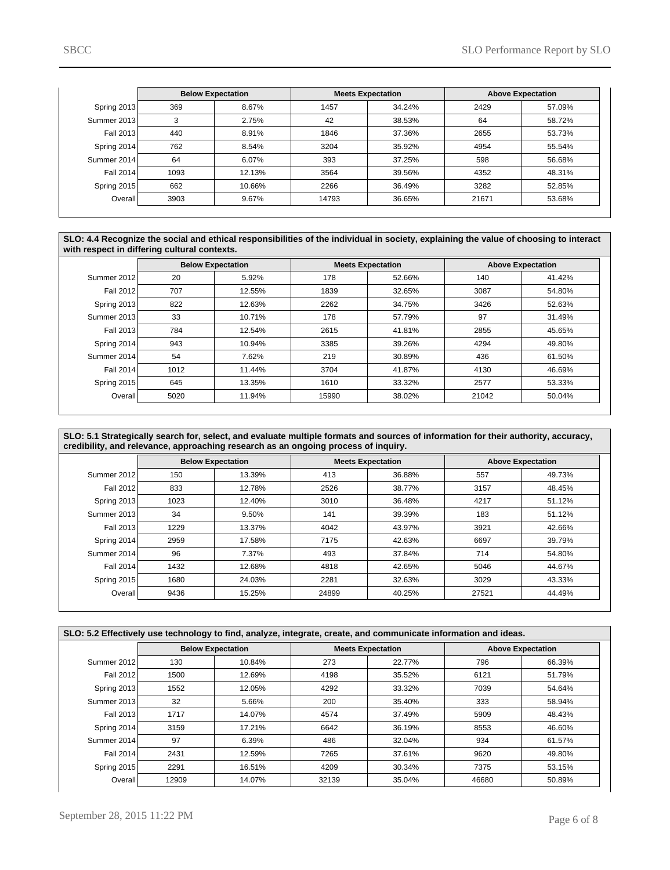|             |      | <b>Below Expectation</b> |       | <b>Meets Expectation</b> |       | <b>Above Expectation</b> |
|-------------|------|--------------------------|-------|--------------------------|-------|--------------------------|
| Spring 2013 | 369  | 8.67%                    | 1457  | 34.24%                   | 2429  | 57.09%                   |
| Summer 2013 | 3    | 2.75%                    | 42    | 38.53%                   | 64    | 58.72%                   |
| Fall 2013   | 440  | 8.91%                    | 1846  | 37.36%                   | 2655  | 53.73%                   |
| Spring 2014 | 762  | 8.54%                    | 3204  | 35.92%                   | 4954  | 55.54%                   |
| Summer 2014 | 64   | 6.07%                    | 393   | 37.25%                   | 598   | 56.68%                   |
| Fall 2014   | 1093 | 12.13%                   | 3564  | 39.56%                   | 4352  | 48.31%                   |
| Spring 2015 | 662  | 10.66%                   | 2266  | 36.49%                   | 3282  | 52.85%                   |
| Overall     | 3903 | 9.67%                    | 14793 | 36.65%                   | 21671 | 53.68%                   |

**SLO: 4.4 Recognize the social and ethical responsibilities of the individual in society, explaining the value of choosing to interact with respect in differing cultural contexts.**

|                  | <b>Below Expectation</b> |        |       | <b>Meets Expectation</b> |       | <b>Above Expectation</b> |
|------------------|--------------------------|--------|-------|--------------------------|-------|--------------------------|
| Summer 2012      | 20                       | 5.92%  | 178   | 52.66%                   | 140   | 41.42%                   |
| <b>Fall 2012</b> | 707                      | 12.55% | 1839  | 32.65%                   | 3087  | 54.80%                   |
| Spring 2013      | 822                      | 12.63% | 2262  | 34.75%                   | 3426  | 52.63%                   |
| Summer 2013      | 33                       | 10.71% | 178   | 57.79%                   | 97    | 31.49%                   |
| Fall 2013        | 784                      | 12.54% | 2615  | 41.81%                   | 2855  | 45.65%                   |
| Spring 2014      | 943                      | 10.94% | 3385  | 39.26%                   | 4294  | 49.80%                   |
| Summer 2014      | 54                       | 7.62%  | 219   | 30.89%                   | 436   | 61.50%                   |
| <b>Fall 2014</b> | 1012                     | 11.44% | 3704  | 41.87%                   | 4130  | 46.69%                   |
| Spring 2015      | 645                      | 13.35% | 1610  | 33.32%                   | 2577  | 53.33%                   |
| Overall          | 5020                     | 11.94% | 15990 | 38.02%                   | 21042 | 50.04%                   |

**SLO: 5.1 Strategically search for, select, and evaluate multiple formats and sources of information for their authority, accuracy, credibility, and relevance, approaching research as an ongoing process of inquiry.**

|                  | <b>Below Expectation</b> |        | <b>Meets Expectation</b> |        | <b>Above Expectation</b> |        |
|------------------|--------------------------|--------|--------------------------|--------|--------------------------|--------|
| Summer 2012      | 150                      | 13.39% | 413                      | 36.88% | 557                      | 49.73% |
| <b>Fall 2012</b> | 833                      | 12.78% | 2526                     | 38.77% | 3157                     | 48.45% |
| Spring 2013      | 1023                     | 12.40% | 3010                     | 36.48% | 4217                     | 51.12% |
| Summer 2013      | 34                       | 9.50%  | 141                      | 39.39% | 183                      | 51.12% |
| Fall 2013        | 1229                     | 13.37% | 4042                     | 43.97% | 3921                     | 42.66% |
| Spring 2014      | 2959                     | 17.58% | 7175                     | 42.63% | 6697                     | 39.79% |
| Summer 2014      | 96                       | 7.37%  | 493                      | 37.84% | 714                      | 54.80% |
| <b>Fall 2014</b> | 1432                     | 12.68% | 4818                     | 42.65% | 5046                     | 44.67% |
| Spring 2015      | 1680                     | 24.03% | 2281                     | 32.63% | 3029                     | 43.33% |
| Overall          | 9436                     | 15.25% | 24899                    | 40.25% | 27521                    | 44.49% |

| SLO: 5.2 Effectively use technology to find, analyze, integrate, create, and communicate information and ideas. |                          |        |       |                          |       |                          |  |
|-----------------------------------------------------------------------------------------------------------------|--------------------------|--------|-------|--------------------------|-------|--------------------------|--|
|                                                                                                                 | <b>Below Expectation</b> |        |       | <b>Meets Expectation</b> |       | <b>Above Expectation</b> |  |
| Summer 2012                                                                                                     | 130                      | 10.84% | 273   | 22.77%                   | 796   | 66.39%                   |  |
| Fall 2012                                                                                                       | 1500                     | 12.69% | 4198  | 35.52%                   | 6121  | 51.79%                   |  |
| Spring 2013                                                                                                     | 1552                     | 12.05% | 4292  | 33.32%                   | 7039  | 54.64%                   |  |
| Summer 2013                                                                                                     | 32                       | 5.66%  | 200   | 35.40%                   | 333   | 58.94%                   |  |
| Fall 2013                                                                                                       | 1717                     | 14.07% | 4574  | 37.49%                   | 5909  | 48.43%                   |  |
| Spring 2014                                                                                                     | 3159                     | 17.21% | 6642  | 36.19%                   | 8553  | 46.60%                   |  |
| Summer 2014                                                                                                     | 97                       | 6.39%  | 486   | 32.04%                   | 934   | 61.57%                   |  |
| Fall 2014                                                                                                       | 2431                     | 12.59% | 7265  | 37.61%                   | 9620  | 49.80%                   |  |
| Spring 2015                                                                                                     | 2291                     | 16.51% | 4209  | 30.34%                   | 7375  | 53.15%                   |  |
| Overall                                                                                                         | 12909                    | 14.07% | 32139 | 35.04%                   | 46680 | 50.89%                   |  |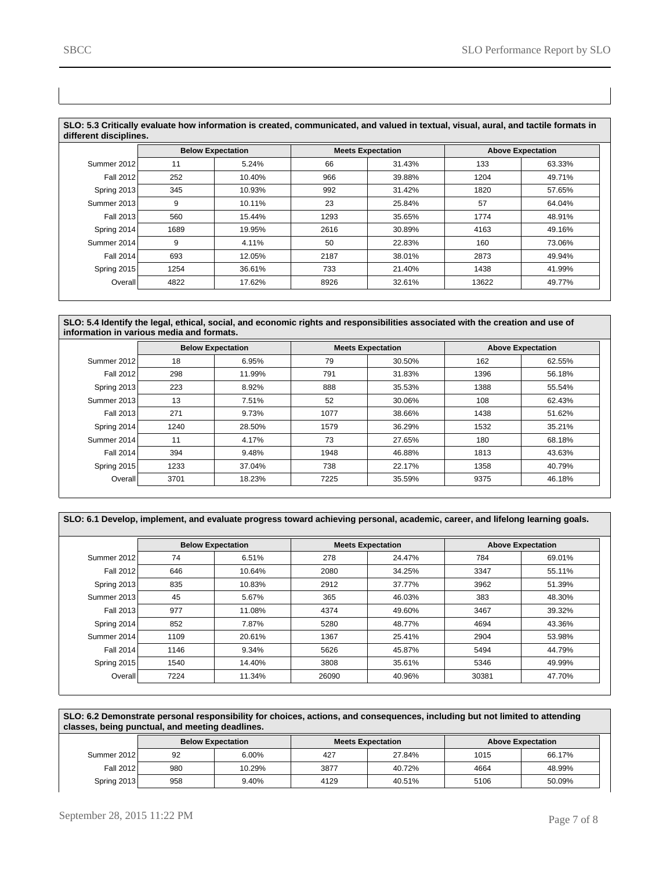| SLO: 5.3 Critically evaluate how information is created, communicated, and valued in textual, visual, aural, and tactile formats in<br>different disciplines. |      |                          |      |                          |                          |        |  |  |
|---------------------------------------------------------------------------------------------------------------------------------------------------------------|------|--------------------------|------|--------------------------|--------------------------|--------|--|--|
|                                                                                                                                                               |      | <b>Below Expectation</b> |      | <b>Meets Expectation</b> | <b>Above Expectation</b> |        |  |  |
| Summer 2012                                                                                                                                                   | 11   | 5.24%                    | 66   | 31.43%                   | 133                      | 63.33% |  |  |
| Fall 2012                                                                                                                                                     | 252  | 10.40%                   | 966  | 39.88%                   | 1204                     | 49.71% |  |  |
| Spring 2013                                                                                                                                                   | 345  | 10.93%                   | 992  | 31.42%                   | 1820                     | 57.65% |  |  |
| Summer 2013                                                                                                                                                   | 9    | 10.11%                   | 23   | 25.84%                   | 57                       | 64.04% |  |  |
| Fall 2013                                                                                                                                                     | 560  | 15.44%                   | 1293 | 35.65%                   | 1774                     | 48.91% |  |  |
| Spring 2014                                                                                                                                                   | 1689 | 19.95%                   | 2616 | 30.89%                   | 4163                     | 49.16% |  |  |
| Summer 2014                                                                                                                                                   | 9    | 4.11%                    | 50   | 22.83%                   | 160                      | 73.06% |  |  |
| Fall 2014                                                                                                                                                     | 693  | 12.05%                   | 2187 | 38.01%                   | 2873                     | 49.94% |  |  |
| Spring 2015                                                                                                                                                   | 1254 | 36.61%                   | 733  | 21.40%                   | 1438                     | 41.99% |  |  |
| Overall                                                                                                                                                       | 4822 | 17.62%                   | 8926 | 32.61%                   | 13622                    | 49.77% |  |  |

**SLO: 5.4 Identify the legal, ethical, social, and economic rights and responsibilities associated with the creation and use of information in various media and formats.**

|                  | <b>Below Expectation</b> |        |      | <b>Meets Expectation</b> |      | <b>Above Expectation</b> |
|------------------|--------------------------|--------|------|--------------------------|------|--------------------------|
| Summer 2012      | 18                       | 6.95%  | 79   | 30.50%                   | 162  | 62.55%                   |
| <b>Fall 2012</b> | 298                      | 11.99% | 791  | 31.83%                   | 1396 | 56.18%                   |
| Spring 2013      | 223                      | 8.92%  | 888  | 35.53%                   | 1388 | 55.54%                   |
| Summer 2013      | 13                       | 7.51%  | 52   | 30.06%                   | 108  | 62.43%                   |
| Fall 2013        | 271                      | 9.73%  | 1077 | 38.66%                   | 1438 | 51.62%                   |
| Spring 2014      | 1240                     | 28.50% | 1579 | 36.29%                   | 1532 | 35.21%                   |
| Summer 2014      | 11                       | 4.17%  | 73   | 27.65%                   | 180  | 68.18%                   |
| <b>Fall 2014</b> | 394                      | 9.48%  | 1948 | 46.88%                   | 1813 | 43.63%                   |
| Spring 2015      | 1233                     | 37.04% | 738  | 22.17%                   | 1358 | 40.79%                   |
| Overall          | 3701                     | 18.23% | 7225 | 35.59%                   | 9375 | 46.18%                   |

| SLO: 6.1 Develop, implement, and evaluate progress toward achieving personal, academic, career, and lifelong learning goals. |  |
|------------------------------------------------------------------------------------------------------------------------------|--|
|                                                                                                                              |  |

|                  | <b>Below Expectation</b> |        | <b>Meets Expectation</b> |        | <b>Above Expectation</b> |        |  |
|------------------|--------------------------|--------|--------------------------|--------|--------------------------|--------|--|
| Summer 2012      | 74                       | 6.51%  | 278                      | 24.47% | 784                      | 69.01% |  |
| <b>Fall 2012</b> | 646                      | 10.64% | 2080                     | 34.25% | 3347                     | 55.11% |  |
| Spring 2013      | 835                      | 10.83% | 2912                     | 37.77% | 3962                     | 51.39% |  |
| Summer 2013      | 45                       | 5.67%  | 365                      | 46.03% | 383                      | 48.30% |  |
| Fall 2013        | 977                      | 11.08% | 4374                     | 49.60% | 3467                     | 39.32% |  |
| Spring 2014      | 852                      | 7.87%  | 5280                     | 48.77% | 4694                     | 43.36% |  |
| Summer 2014      | 1109                     | 20.61% | 1367                     | 25.41% | 2904                     | 53.98% |  |
| Fall 2014        | 1146                     | 9.34%  | 5626                     | 45.87% | 5494                     | 44.79% |  |
| Spring 2015      | 1540                     | 14.40% | 3808                     | 35.61% | 5346                     | 49.99% |  |
| Overall          | 7224                     | 11.34% | 26090                    | 40.96% | 30381                    | 47.70% |  |

| SLO: 6.2 Demonstrate personal responsibility for choices, actions, and consequences, including but not limited to attending |
|-----------------------------------------------------------------------------------------------------------------------------|
| classes, being punctual, and meeting deadlines.                                                                             |

|             | <b>Below Expectation</b> |        | <b>Meets Expectation</b> |        | <b>Above Expectation</b> |        |
|-------------|--------------------------|--------|--------------------------|--------|--------------------------|--------|
| Summer 2012 | 92                       | 6.00%  | 427                      | 27.84% | 1015                     | 66.17% |
| Fall 2012   | 980                      | 10.29% | 3877                     | 40.72% | 4664                     | 48.99% |
| Spring 2013 | 958                      | 9.40%  | 4129                     | 40.51% | 5106                     | 50.09% |